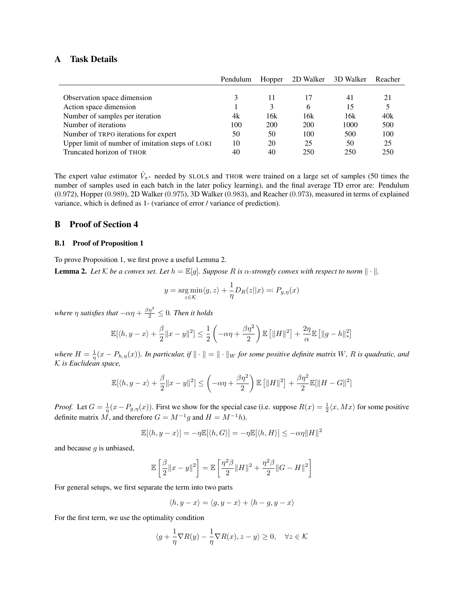# A Task Details

|                                                  | Pendulum | Hopper |     | 2D Walker 3D Walker | Reacher |
|--------------------------------------------------|----------|--------|-----|---------------------|---------|
|                                                  |          |        |     |                     |         |
| Observation space dimension                      | 3        | 11     | 17  | 41                  | 21      |
| Action space dimension                           |          | 3      | 6   | 15                  | 5       |
| Number of samples per iteration                  | 4k       | 16k    | 16k | 16k                 | 40k     |
| Number of iterations                             | 100      | 200    | 200 | 1000                | 500     |
| Number of TRPO iterations for expert             | 50       | 50     | 100 | 500                 | 100     |
| Upper limit of number of imitation steps of LOKI | 10       | 20     | 25  | 50                  | 25      |
| Truncated horizon of THOR                        | 40       | 40     | 250 | 250                 | 250     |

The expert value estimator  $\hat{V}_{\pi^*}$  needed by SLOLS and THOR were trained on a large set of samples (50 times the number of samples used in each batch in the later policy learning), and the final average TD error are: Pendulum (0.972), Hopper (0.989), 2D Walker (0.975), 3D Walker (0.983), and Reacher (0.973), measured in terms of explained variance, which is defined as 1- (variance of error / variance of prediction).

## B Proof of Section 4

#### B.1 Proof of Proposition 1

To prove Proposition 1, we first prove a useful Lemma [2.](#page-0-0)

<span id="page-0-0"></span>**Lemma 2.** Let K be a convex set. Let  $h = \mathbb{E}[g]$ . Suppose R is  $\alpha$ -strongly convex with respect to norm  $\|\cdot\|$ .

$$
y = \underset{z \in \mathcal{K}}{\arg \min} \langle g, z \rangle + \frac{1}{\eta} D_R(z || x) =: P_{g, \eta}(x)
$$

where  $\eta$  satisfies that  $-\alpha\eta + \frac{\beta\eta^2}{2} \leq 0$ *. Then it holds* 

$$
\mathbb{E}[\langle h, y - x \rangle + \frac{\beta}{2} \|x - y\|^2] \le \frac{1}{2} \left( -\alpha \eta + \frac{\beta \eta^2}{2} \right) \mathbb{E} \left[ \|H\|^2 \right] + \frac{2\eta}{\alpha} \mathbb{E} \left[ \|g - h\|_*^2 \right]
$$

where  $H = \frac{1}{\eta}(x - P_{h,\eta}(x))$ . In particular, if  $\|\cdot\| = \|\cdot\|_W$  for some positive definite matrix W, R is quadratic, and K *is Euclidean space,*

$$
\mathbb{E}[\langle h, y - x \rangle + \frac{\beta}{2} ||x - y||^2] \le \left( -\alpha \eta + \frac{\beta \eta^2}{2} \right) \mathbb{E} \left[ ||H||^2 \right] + \frac{\beta \eta^2}{2} \mathbb{E}[\|H - G\|^2]
$$

*Proof.* Let  $G = \frac{1}{\eta}(x - P_{g,\eta}(x))$ . First we show for the special case (i.e. suppose  $R(x) = \frac{1}{2}\langle x, Mx \rangle$  for some positive definite matrix M, and therefore  $G = M^{-1}g$  and  $H = M^{-1}h$ ).

$$
\mathbb{E}[\langle h, y - x \rangle] = -\eta \mathbb{E}[\langle h, G \rangle] = -\eta \mathbb{E}[\langle h, H \rangle] \le -\alpha \eta \|H\|^2
$$

and because  $q$  is unbiased,

$$
\mathbb{E}\left[\frac{\beta}{2}\|x-y\|^2\right] = \mathbb{E}\left[\frac{\eta^2\beta}{2}\|H\|^2 + \frac{\eta^2\beta}{2}\|G-H\|^2\right]
$$

For general setups, we first separate the term into two parts

$$
\langle h, y - x \rangle = \langle g, y - x \rangle + \langle h - g, y - x \rangle
$$

For the first term, we use the optimality condition

$$
\langle g + \frac{1}{\eta} \nabla R(y) - \frac{1}{\eta} \nabla R(x), z - y \rangle \ge 0, \quad \forall z \in \mathcal{K}
$$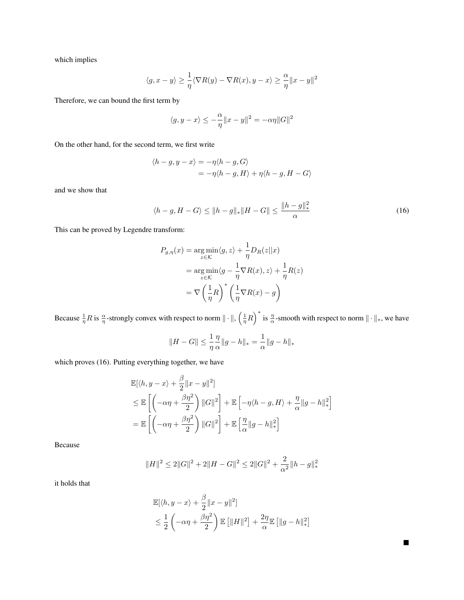which implies

$$
\langle g, x - y \rangle \ge \frac{1}{\eta} \langle \nabla R(y) - \nabla R(x), y - x \rangle \ge \frac{\alpha}{\eta} ||x - y||^2
$$

Therefore, we can bound the first term by

$$
\langle g, y - x \rangle \le -\frac{\alpha}{\eta} \|x - y\|^2 = -\alpha \eta \|G\|^2
$$

On the other hand, for the second term, we first write

$$
\langle h-g, y-x \rangle = -\eta \langle h-g, G \rangle
$$
  
= -\eta \langle h-g, H \rangle + \eta \langle h-g, H-G \rangle

and we show that

$$
\langle h - g, H - G \rangle \le ||h - g||_* ||H - G|| \le \frac{||h - g||_*^2}{\alpha} \tag{16}
$$

This can be proved by Legendre transform:

<span id="page-1-0"></span>
$$
P_{g,\eta}(x) = \underset{z \in \mathcal{K}}{\arg \min} \langle g, z \rangle + \frac{1}{\eta} D_R(z || x)
$$
  
= 
$$
\underset{z \in \mathcal{K}}{\arg \min} \langle g - \frac{1}{\eta} \nabla R(x), z \rangle + \frac{1}{\eta} R(z)
$$
  
= 
$$
\nabla \left(\frac{1}{\eta} R\right)^* \left(\frac{1}{\eta} \nabla R(x) - g\right)
$$

Because  $\frac{1}{\eta}R$  is  $\frac{\alpha}{\eta}$ -strongly convex with respect to norm  $\|\cdot\|$ ,  $\left(\frac{1}{\eta}R\right)^*$  is  $\frac{\eta}{\alpha}$ -smooth with respect to norm  $\|\cdot\|_*$ , we have

$$
||H - G|| \le \frac{1}{\eta} \frac{\eta}{\alpha} ||g - h||_* = \frac{1}{\alpha} ||g - h||_*
$$

which proves [\(16\)](#page-1-0). Putting everything together, we have

$$
\mathbb{E}[\langle h, y - x \rangle + \frac{\beta}{2} ||x - y||^2]
$$
\n
$$
\leq \mathbb{E}\left[\left(-\alpha \eta + \frac{\beta \eta^2}{2}\right) ||G||^2\right] + \mathbb{E}\left[-\eta \langle h - g, H \rangle + \frac{\eta}{\alpha} ||g - h||_*^2\right]
$$
\n
$$
= \mathbb{E}\left[\left(-\alpha \eta + \frac{\beta \eta^2}{2}\right) ||G||^2\right] + \mathbb{E}\left[\frac{\eta}{\alpha} ||g - h||_*^2\right]
$$

Because

$$
||H||^2 \le 2||G||^2 + 2||H - G||^2 \le 2||G||^2 + \frac{2}{\alpha^2}||h - g||_*^2
$$

it holds that

$$
\mathbb{E}[\langle h, y - x \rangle + \frac{\beta}{2} ||x - y||^2]
$$
  
\n
$$
\leq \frac{1}{2} \left( -\alpha \eta + \frac{\beta \eta^2}{2} \right) \mathbb{E} [||H||^2] + \frac{2\eta}{\alpha} \mathbb{E} [||g - h||_*^2]
$$

 $\blacksquare$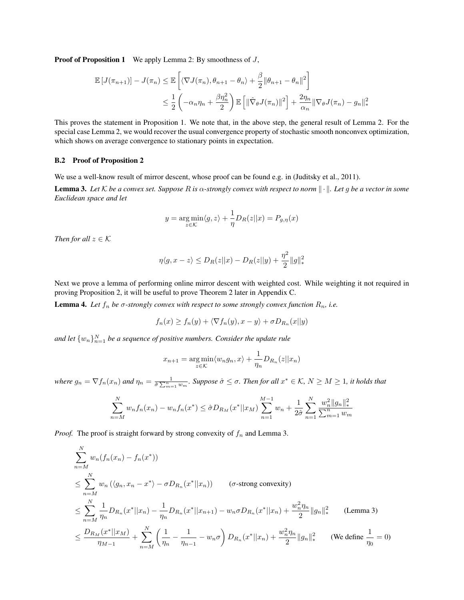**Proof of Proposition 1** We apply Lemma [2:](#page-0-0) By smoothness of  $J$ ,

$$
\mathbb{E}\left[J(\pi_{n+1})\right] - J(\pi_n) \leq \mathbb{E}\left[\langle \nabla J(\pi_n), \theta_{n+1} - \theta_n \rangle + \frac{\beta}{2} ||\theta_{n+1} - \theta_n||^2\right]
$$
  

$$
\leq \frac{1}{2} \left(-\alpha_n \eta_n + \frac{\beta \eta_n^2}{2}\right) \mathbb{E}\left[\|\hat{\nabla}_{\theta} J(\pi_n)\|^2\right] + \frac{2\eta_n}{\alpha_n} \|\nabla_{\theta} J(\pi_n) - g_n\|^2,
$$

This proves the statement in Proposition 1. We note that, in the above step, the general result of Lemma [2.](#page-0-0) For the special case Lemma [2,](#page-0-0) we would recover the usual convergence property of stochastic smooth nonconvex optimization, which shows on average convergence to stationary points in expectation.

### B.2 Proof of Proposition 2

We use a well-know result of mirror descent, whose proof can be found e.g. in (Juditsky et al., 2011).

<span id="page-2-0"></span>**Lemma 3.** Let K be a convex set. Suppose R is  $\alpha$ -strongly convex with respect to norm  $\|\cdot\|$ . Let g be a vector in some *Euclidean space and let*

$$
y = \underset{z \in \mathcal{K}}{\arg \min} \langle g, z \rangle + \frac{1}{\eta} D_R(z || x) = P_{g, \eta}(x)
$$

*Then for all*  $z \in K$ 

$$
\eta \langle g, x - z \rangle \le D_R(z||x) - D_R(z||y) + \frac{\eta^2}{2} ||g||_*^2
$$

Next we prove a lemma of performing online mirror descent with weighted cost. While weighting it not required in proving Proposition 2, it will be useful to prove Theorem 2 later in Appendix [C.](#page-3-0)

<span id="page-2-1"></span>**Lemma 4.** Let  $f_n$  be  $\sigma$ -strongly convex with respect to some strongly convex function  $R_n$ , i.e.

$$
f_n(x) \ge f_n(y) + \langle \nabla f_n(y), x - y \rangle + \sigma D_{R_n}(x||y)
$$

and let  $\{w_n\}_{n=1}^N$  be a sequence of positive numbers. Consider the update rule

$$
x_{n+1} = \underset{z \in \mathcal{K}}{\arg \min} \langle w_n g_n, x \rangle + \frac{1}{\eta_n} D_{R_n}(z || x_n)
$$

*where*  $g_n = \nabla f_n(x_n)$  and  $\eta_n = \frac{1}{\hat{\sigma} \sum_{m=1}^n w_m}$ . Suppose  $\hat{\sigma} \leq \sigma$ . Then for all  $x^* \in \mathcal{K}$ ,  $N \geq M \geq 1$ , it holds that

$$
\sum_{n=M}^{N} w_n f_n(x_n) - w_n f_n(x^*) \leq \hat{\sigma} D_{R_M}(x^* || x_M) \sum_{n=1}^{M-1} w_n + \frac{1}{2\hat{\sigma}} \sum_{n=1}^{N} \frac{w_n^2 ||g_n||_*^2}{\sum_{m=1}^{N} w_m}
$$

*Proof.* The proof is straight forward by strong convexity of  $f_n$  and Lemma [3.](#page-2-0)

$$
\sum_{n=M}^{N} w_n(f_n(x_n) - f_n(x^*))
$$
\n
$$
\leq \sum_{n=M}^{N} w_n(\langle g_n, x_n - x^* \rangle - \sigma D_{R_n}(x^* || x_n)) \qquad (\sigma\text{-strong convexity})
$$
\n
$$
\leq \sum_{n=M}^{N} \frac{1}{\eta_n} D_{R_n}(x^* || x_n) - \frac{1}{\eta_n} D_{R_n}(x^* || x_{n+1}) - w_n \sigma D_{R_n}(x^* || x_n) + \frac{w_n^2 \eta_n}{2} || g_n ||_*^2 \qquad \text{(Lemma 3)}
$$
\n
$$
\leq \frac{D_{R_M}(x^* || x_M)}{\eta_{M-1}} + \sum_{n=M}^{N} \left( \frac{1}{\eta_n} - \frac{1}{\eta_{n-1}} - w_n \sigma \right) D_{R_n}(x^* || x_n) + \frac{w_n^2 \eta_n}{2} || g_n ||_*^2 \qquad \text{(We define } \frac{1}{\eta_0} = 0)
$$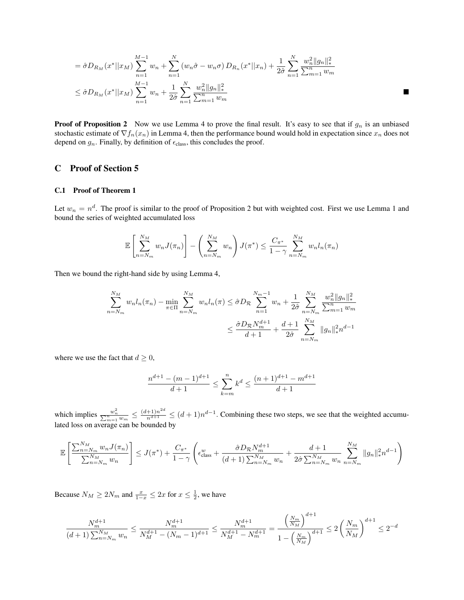$$
= \hat{\sigma} D_{R_M}(x^* || x_M) \sum_{n=1}^{M-1} w_n + \sum_{n=1}^N (w_n \hat{\sigma} - w_n \sigma) D_{R_n}(x^* || x_n) + \frac{1}{2\hat{\sigma}} \sum_{n=1}^N \frac{w_n^2 ||g_n||_*^2}{\sum_{m=1}^n w_m}
$$
  

$$
\leq \hat{\sigma} D_{R_M}(x^* || x_M) \sum_{n=1}^{M-1} w_n + \frac{1}{2\hat{\sigma}} \sum_{n=1}^N \frac{w_n^2 ||g_n||_*^2}{\sum_{m=1}^n w_m}
$$

**Proof of Proposition 2** Now we use Lemma [4](#page-2-1) to prove the final result. It's easy to see that if  $g_n$  is an unbiased stochastic estimate of  $\nabla f_n(x_n)$  in Lemma [4,](#page-2-1) then the performance bound would hold in expectation since  $x_n$  does not depend on  $g_n$ . Finally, by definition of  $\epsilon_{\rm class}$ , this concludes the proof.

### <span id="page-3-0"></span>C Proof of Section 5

#### C.1 Proof of Theorem 1

Let  $w_n = n^d$ . The proof is similar to the proof of Proposition 2 but with weighted cost. First we use Lemma 1 and bound the series of weighted accumulated loss

$$
\mathbb{E}\left[\sum_{n=N_m}^{N_M} w_n J(\pi_n)\right] - \left(\sum_{n=N_m}^{N_M} w_n\right) J(\pi^*) \le \frac{C_{\pi^*}}{1-\gamma} \sum_{n=N_m}^{N_M} w_n l_n(\pi_n)
$$

Then we bound the right-hand side by using Lemma [4,](#page-2-1)

$$
\sum_{n=N_m}^{N_M} w_n l_n(\pi_n) - \min_{\pi \in \Pi} \sum_{n=N_m}^{N_M} w_n l_n(\pi) \leq \hat{\sigma} D_{\mathcal{R}} \sum_{n=1}^{N_m-1} w_n + \frac{1}{2\hat{\sigma}} \sum_{n=N_m}^{N_M} \frac{w_n^2 ||g_n||_*^2}{\sum_{n=1}^n w_m}
$$

$$
\leq \frac{\hat{\sigma} D_{\mathcal{R}} N_m^{d+1}}{d+1} + \frac{d+1}{2\hat{\sigma}} \sum_{n=N_m}^{N_M} ||g_n||_*^2 n^{d-1}
$$

where we use the fact that  $d \geq 0$ ,

$$
\frac{n^{d+1}-(m-1)^{d+1}}{d+1}\leq \sum_{k=m}^n k^d\leq \frac{(n+1)^{d+1}-m^{d+1}}{d+1}
$$

which implies  $\frac{w_n^2}{\sum_{m=1}^n w_m} \leq \frac{(d+1)n^{2d}}{n^{d+1}} \leq (d+1)n^{d-1}$ . Combining these two steps, we see that the weighted accumulated loss on average can be bounded by

$$
\mathbb{E}\left[\frac{\sum_{n=N_m}^{N_M} w_n J(\pi_n)}{\sum_{n=N_m}^{N_M} w_n}\right] \leq J(\pi^*) + \frac{C_{\pi^*}}{1-\gamma} \left(\epsilon_{\text{class}}^w + \frac{\hat{\sigma} D_{\mathcal{R}} N_m^{d+1}}{(d+1) \sum_{n=N_m}^{N_M} w_n} + \frac{d+1}{2\hat{\sigma} \sum_{n=N_m}^{N_M} w_n} \sum_{n=N_m}^{N_M} ||g_n||_*^2 n^{d-1}\right)
$$

Because  $N_M \ge 2N_m$  and  $\frac{x}{1-x} \le 2x$  for  $x \le \frac{1}{2}$ , we have

$$
\frac{N_m^{d+1}}{(d+1)\sum_{n=N_m}^{N_M}w_n}\leq \frac{N_m^{d+1}}{N_M^{d+1}-(N_m-1)^{d+1}}\leq \frac{N_m^{d+1}}{N_M^{d+1}-N_m^{d+1}}=\frac{\left(\frac{N_m}{N_M}\right)^{d+1}}{1-\left(\frac{N_m}{N_M}\right)^{d+1}}\leq 2\left(\frac{N_m}{N_M}\right)^{d+1}\leq 2^{-d}
$$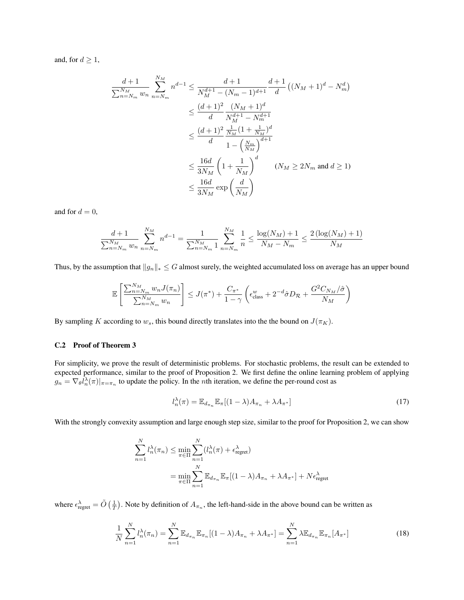and, for  $d \geq 1$ ,

$$
\frac{d+1}{\sum_{n=N_m}^{N_M} w_n} \sum_{n=N_m}^{N_M} n^{d-1} \le \frac{d+1}{N_M^{d+1} - (N_m - 1)^{d+1}} \frac{d+1}{d} ((N_M + 1)^d - N_m^d)
$$
  

$$
\le \frac{(d+1)^2}{d} \frac{(N_M + 1)^d}{N_M^{d+1} - N_m^{d+1}}
$$
  

$$
\le \frac{(d+1)^2}{d} \frac{\frac{1}{N_M} (1 + \frac{1}{N_M})^d}{1 - (\frac{N_m}{N_M})^{d+1}}
$$
  

$$
\le \frac{16d}{3N_M} \left(1 + \frac{1}{N_M}\right)^d \qquad (N_M \ge 2N_m \text{ and } d \ge 1)
$$
  

$$
\le \frac{16d}{3N_M} \exp\left(\frac{d}{N_M}\right)
$$

and for  $d = 0$ ,

$$
\frac{d+1}{\sum_{n=N_m}^{N_M} w_n} \sum_{n=N_m}^{N_M} n^{d-1} = \frac{1}{\sum_{n=N_m}^{N_M} 1} \sum_{n=N_m}^{N_M} \frac{1}{n} \le \frac{\log(N_M) + 1}{N_M - N_m} \le \frac{2(\log(N_M) + 1)}{N_M}
$$

Thus, by the assumption that  $||g_n||_* \leq G$  almost surely, the weighted accumulated loss on average has an upper bound

$$
\mathbb{E}\left[\frac{\sum_{n=N_m}^{N_M} w_n J(\pi_n)}{\sum_{n=N_m}^{N_M} w_n}\right] \leq J(\pi^*) + \frac{C_{\pi^*}}{1-\gamma} \left(\epsilon_{\text{class}}^w + 2^{-d} \hat{\sigma} D_{\mathcal{R}} + \frac{G^2 C_{N_M}/\hat{\sigma}}{N_M}\right)
$$

By sampling K according to  $w_s$ , this bound directly translates into the the bound on  $J(\pi_K)$ .

### C.2 Proof of Theorem 3

For simplicity, we prove the result of deterministic problems. For stochastic problems, the result can be extended to expected performance, similar to the proof of Proposition 2. We first define the online learning problem of applying  $g_n = \nabla_{\theta} l_n^{\lambda}(\pi)|_{\pi = \pi_n}$  to update the policy. In the *n*th iteration, we define the per-round cost as

$$
l_n^{\lambda}(\pi) = \mathbb{E}_{d_{\pi_n}} \mathbb{E}_{\pi} [(1 - \lambda) A_{\pi_n} + \lambda A_{\pi^*}]
$$
\n(17)

With the strongly convexity assumption and large enough step size, similar to the proof for Proposition 2, we can show

$$
\sum_{n=1}^{N} l_n^{\lambda}(\pi_n) \le \min_{\pi \in \Pi} \sum_{n=1}^{N} (l_n^{\lambda}(\pi) + \epsilon_{\text{regret}}^{\lambda})
$$

$$
= \min_{\pi \in \Pi} \sum_{n=1}^{N} \mathbb{E}_{d_{\pi_n}} \mathbb{E}_{\pi} [(1 - \lambda) A_{\pi_n} + \lambda A_{\pi^*}] + N \epsilon_{\text{regret}}^{\lambda}
$$

where  $\epsilon_{\text{regret}}^{\lambda} = \tilde{O}(\frac{1}{T})$ . Note by definition of  $A_{\pi_n}$ , the left-hand-side in the above bound can be written as

$$
\frac{1}{N} \sum_{n=1}^{N} l_n^{\lambda}(\pi_n) = \sum_{n=1}^{N} \mathbb{E}_{d_{\pi_n}} \mathbb{E}_{\pi_n} [(1-\lambda)A_{\pi_n} + \lambda A_{\pi^*}] = \sum_{n=1}^{N} \lambda \mathbb{E}_{d_{\pi_n}} \mathbb{E}_{\pi_n} [A_{\pi^*}]
$$
(18)